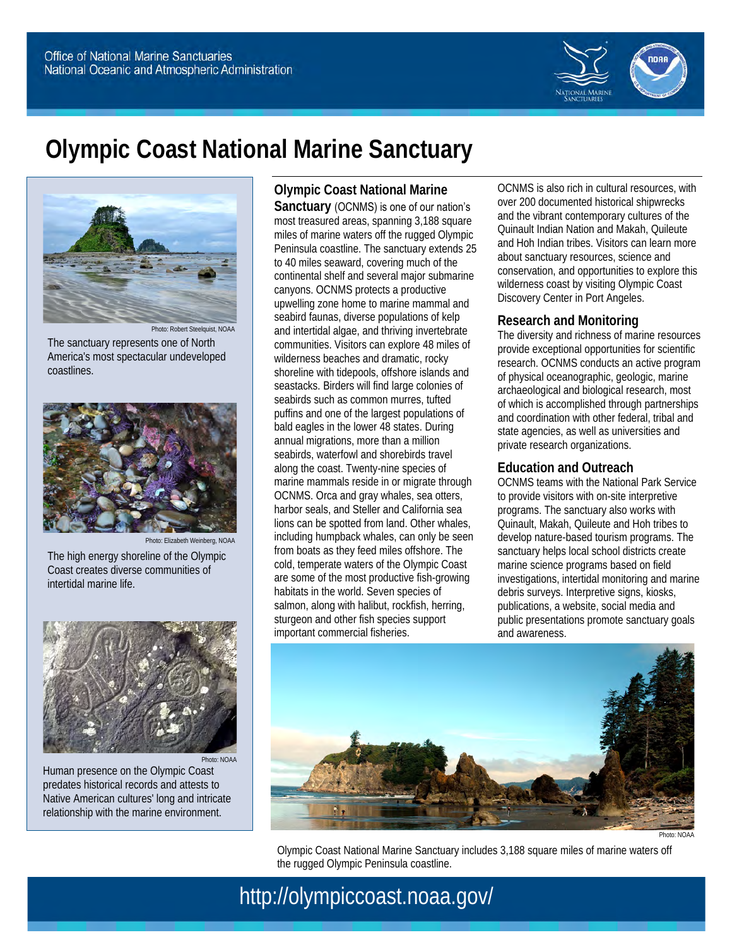

# **Olympic Coast National Marine Sanctuary**



The sanctuary represents one of North America's most spectacular undeveloped coastlines.



The high energy shoreline of the Olympic Coast creates diverse communities of intertidal marine life.



Human presence on the Olympic Coast predates historical records and attests to Native American cultures' long and intricate relationship with the marine environment.

**Olympic Coast National Marine Sanctuary** (OCNMS) is one of our nation's most treasured areas, spanning 3,188 square miles of marine waters off the rugged Olympic Peninsula coastline. The sanctuary extends 25 to 40 miles seaward, covering much of the continental shelf and several major submarine canyons. OCNMS protects a productive upwelling zone home to marine mammal and seabird faunas, diverse populations of kelp and intertidal algae, and thriving invertebrate communities. Visitors can explore 48 miles of wilderness beaches and dramatic, rocky shoreline with tidepools, offshore islands and seastacks. Birders will find large colonies of seabirds such as common murres, tufted puffins and one of the largest populations of bald eagles in the lower 48 states. During annual migrations, more than a million seabirds, waterfowl and shorebirds travel along the coast. Twenty-nine species of marine mammals reside in or migrate through OCNMS. Orca and gray whales, sea otters, harbor seals, and Steller and California sea lions can be spotted from land. Other whales, including humpback whales, can only be seen from boats as they feed miles offshore. The cold, temperate waters of the Olympic Coast are some of the most productive fish-growing habitats in the world. Seven species of salmon, along with halibut, rockfish, herring, sturgeon and other fish species support important commercial fisheries.

OCNMS is also rich in cultural resources, with over 200 documented historical shipwrecks and the vibrant contemporary cultures of the Quinault Indian Nation and Makah, Quileute and Hoh Indian tribes. Visitors can learn more about sanctuary resources, science and conservation, and opportunities to explore this wilderness coast by visiting Olympic Coast Discovery Center in Port Angeles.

## **Research and Monitoring**

The diversity and richness of marine resources provide exceptional opportunities for scientific research. OCNMS conducts an active program of physical oceanographic, geologic, marine archaeological and biological research, most of which is accomplished through partnerships and coordination with other federal, tribal and state agencies, as well as universities and private research organizations.

## **Education and Outreach**

OCNMS teams with the National Park Service to provide visitors with on-site interpretive programs. The sanctuary also works with Quinault, Makah, Quileute and Hoh tribes to develop nature-based tourism programs. The sanctuary helps local school districts create marine science programs based on field investigations, intertidal monitoring and marine debris surveys. Interpretive signs, kiosks, publications, a website, social media and public presentations promote sanctuary goals and awareness.



Photo: NOAA

Olympic Coast National Marine Sanctuary includes 3,188 square miles of marine waters off the rugged Olympic Peninsula coastline.

http://olympiccoast.noaa.gov/